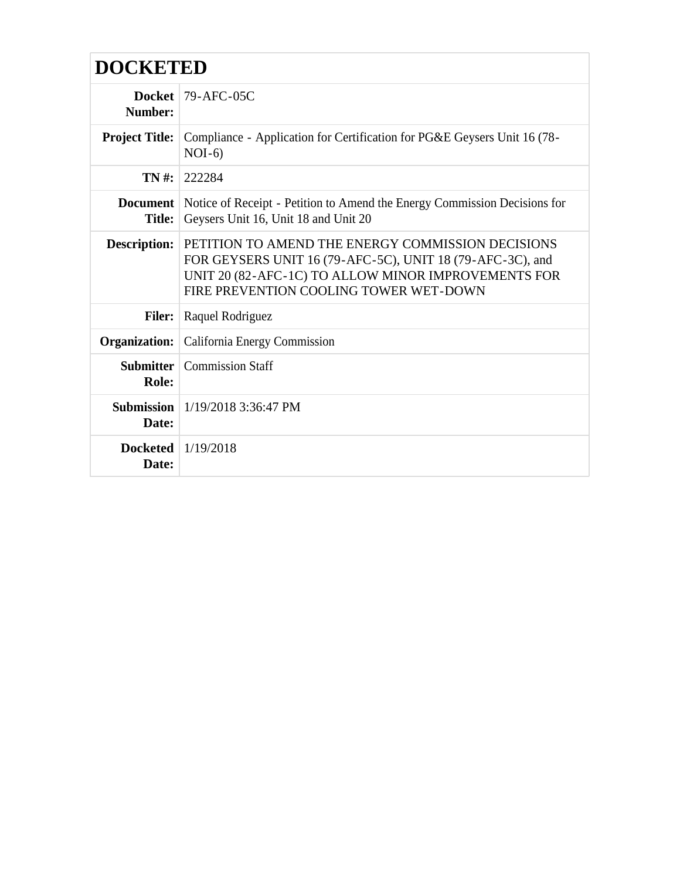| <b>DOCKETED</b>               |                                                                                                                                                                                                                 |
|-------------------------------|-----------------------------------------------------------------------------------------------------------------------------------------------------------------------------------------------------------------|
| Number:                       | Docket $\vert$ 79-AFC-05C                                                                                                                                                                                       |
| <b>Project Title:</b>         | Compliance - Application for Certification for PG&E Geysers Unit 16 (78-<br>$NOI-6$                                                                                                                             |
|                               | <b>TN</b> #: 222284                                                                                                                                                                                             |
| <b>Title:</b>                 | <b>Document</b> Notice of Receipt - Petition to Amend the Energy Commission Decisions for<br>Geysers Unit 16, Unit 18 and Unit 20                                                                               |
| <b>Description:</b>           | PETITION TO AMEND THE ENERGY COMMISSION DECISIONS<br>FOR GEYSERS UNIT 16 (79-AFC-5C), UNIT 18 (79-AFC-3C), and<br>UNIT 20 (82-AFC-1C) TO ALLOW MINOR IMPROVEMENTS FOR<br>FIRE PREVENTION COOLING TOWER WET-DOWN |
| <b>Filer:</b>                 | Raquel Rodriguez                                                                                                                                                                                                |
| Organization:                 | California Energy Commission                                                                                                                                                                                    |
| Submitter<br>Role:            | <b>Commission Staff</b>                                                                                                                                                                                         |
| Date:                         | <b>Submission</b>   1/19/2018 3:36:47 PM                                                                                                                                                                        |
| Docketed $1/19/2018$<br>Date: |                                                                                                                                                                                                                 |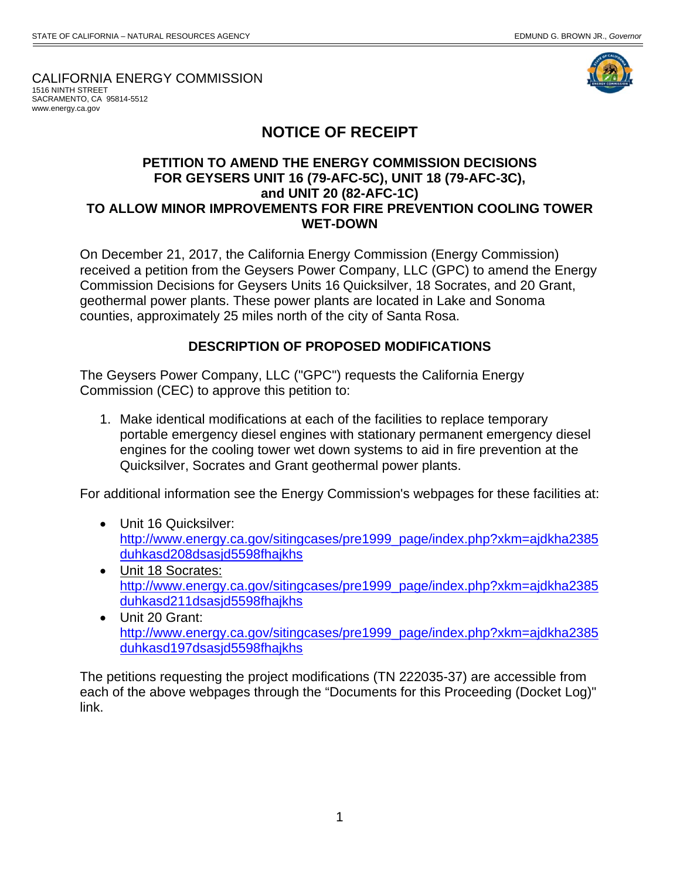CALIFORNIA ENERGY COMMISSION 1516 NINTH STREET

 www.energy.ca.govSACRAMENTO, CA 95814-5512



## **NOTICE OF RECEIPT**

## **PETITION TO AMEND THE ENERGY COMMISSION DECISIONS FOR GEYSERS UNIT 16 (79-AFC-5C), UNIT 18 (79-AFC-3C), and UNIT 20 (82-AFC-1C) TO ALLOW MINOR IMPROVEMENTS FOR FIRE PREVENTION COOLING TOWER WET-DOWN**

On December 21, 2017, the California Energy Commission (Energy Commission) received a petition from the Geysers Power Company, LLC (GPC) to amend the Energy Commission Decisions for Geysers Units 16 Quicksilver, 18 Socrates, and 20 Grant, geothermal power plants. These power plants are located in Lake and Sonoma counties, approximately 25 miles north of the city of Santa Rosa.

## **DESCRIPTION OF PROPOSED MODIFICATIONS**

The Geysers Power Company, LLC ("GPC") requests the California Energy Commission (CEC) to approve this petition to:

1. Make identical modifications at each of the facilities to replace temporary portable emergency diesel engines with stationary permanent emergency diesel engines for the cooling tower wet down systems to aid in fire prevention at the Quicksilver, Socrates and Grant geothermal power plants.

For additional information see the Energy Commission's webpages for these facilities at:

- Unit 16 Quicksilver: http://www.energy.ca.gov/sitingcases/pre1999\_page/index.php?xkm=ajdkha2385 duhkasd208dsasjd5598fhajkhs
- Unit 18 Socrates: http://www.energy.ca.gov/sitingcases/pre1999\_page/index.php?xkm=ajdkha2385 duhkasd211dsasjd5598fhajkhs
- Unit 20 Grant: http://www.energy.ca.gov/sitingcases/pre1999\_page/index.php?xkm=ajdkha2385 duhkasd197dsasjd5598fhajkhs

The petitions requesting the project modifications (TN 222035-37) are accessible from each of the above webpages through the "Documents for this Proceeding (Docket Log)" link.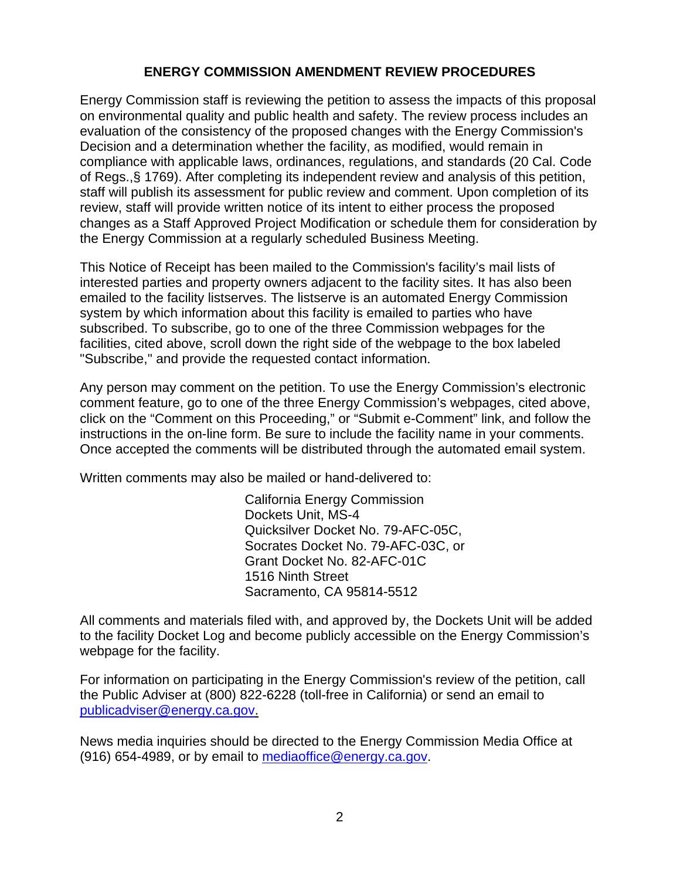## **ENERGY COMMISSION AMENDMENT REVIEW PROCEDURES**

Energy Commission staff is reviewing the petition to assess the impacts of this proposal on environmental quality and public health and safety. The review process includes an evaluation of the consistency of the proposed changes with the Energy Commission's Decision and a determination whether the facility, as modified, would remain in compliance with applicable laws, ordinances, regulations, and standards (20 Cal. Code of Regs.,§ 1769). After completing its independent review and analysis of this petition, staff will publish its assessment for public review and comment. Upon completion of its review, staff will provide written notice of its intent to either process the proposed changes as a Staff Approved Project Modification or schedule them for consideration by the Energy Commission at a regularly scheduled Business Meeting.

This Notice of Receipt has been mailed to the Commission's facility's mail lists of interested parties and property owners adjacent to the facility sites. It has also been emailed to the facility listserves. The listserve is an automated Energy Commission system by which information about this facility is emailed to parties who have subscribed. To subscribe, go to one of the three Commission webpages for the facilities, cited above, scroll down the right side of the webpage to the box labeled "Subscribe," and provide the requested contact information.

Any person may comment on the petition. To use the Energy Commission's electronic comment feature, go to one of the three Energy Commission's webpages, cited above, click on the "Comment on this Proceeding," or "Submit e-Comment" link, and follow the instructions in the on-line form. Be sure to include the facility name in your comments. Once accepted the comments will be distributed through the automated email system.

Written comments may also be mailed or hand-delivered to:

 California Energy Commission Dockets Unit, MS-4 Quicksilver Docket No. 79-AFC-05C, Socrates Docket No. 79-AFC-03C, or Grant Docket No. 82-AFC-01C 1516 Ninth Street Sacramento, CA 95814-5512

All comments and materials filed with, and approved by, the Dockets Unit will be added to the facility Docket Log and become publicly accessible on the Energy Commission's webpage for the facility.

For information on participating in the Energy Commission's review of the petition, call the Public Adviser at (800) 822-6228 (toll-free in California) or send an email to publicadviser@energy.ca.gov.

News media inquiries should be directed to the Energy Commission Media Office at (916) 654-4989, or by email to mediaoffice@energy.ca.gov.